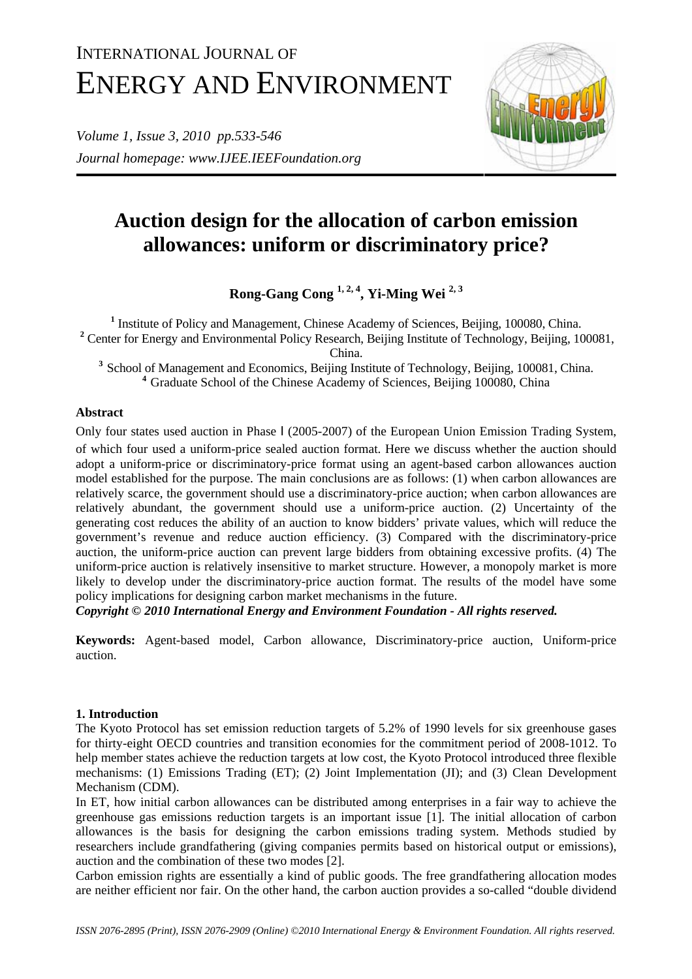# INTERNATIONAL JOURNAL OF ENERGY AND ENVIRONMENT

*Volume 1, Issue 3, 2010 pp.533-546 Journal homepage: www.IJEE.IEEFoundation.org* 



# **Auction design for the allocation of carbon emission allowances: uniform or discriminatory price?**

**Rong-Gang Cong 1, 2, 4, Yi-Ming Wei 2, 3**

<sup>1</sup> Institute of Policy and Management, Chinese Academy of Sciences, Beijing, 100080, China. <sup>2</sup> Center for Energy and Environmental Policy Research, Beijing Institute of Technology, Beijing, 100081,

China.

<sup>3</sup> School of Management and Economics, Beijing Institute of Technology, Beijing, 100081, China. <sup>4</sup> Graduate School of the Chinese Academy of Sciences, Beijing 100080, China

# **Abstract**

Only four states used auction in Phase Ⅰ (2005-2007) of the European Union Emission Trading System, of which four used a uniform-price sealed auction format. Here we discuss whether the auction should adopt a uniform-price or discriminatory-price format using an agent-based carbon allowances auction model established for the purpose. The main conclusions are as follows: (1) when carbon allowances are relatively scarce, the government should use a discriminatory-price auction; when carbon allowances are relatively abundant, the government should use a uniform-price auction. (2) Uncertainty of the generating cost reduces the ability of an auction to know bidders' private values, which will reduce the government's revenue and reduce auction efficiency. (3) Compared with the discriminatory-price auction, the uniform-price auction can prevent large bidders from obtaining excessive profits. (4) The uniform-price auction is relatively insensitive to market structure. However, a monopoly market is more likely to develop under the discriminatory-price auction format. The results of the model have some policy implications for designing carbon market mechanisms in the future.

*Copyright © 2010 International Energy and Environment Foundation - All rights reserved.*

**Keywords:** Agent-based model, Carbon allowance, Discriminatory-price auction, Uniform-price auction.

# **1. Introduction**

The Kyoto Protocol has set emission reduction targets of 5.2% of 1990 levels for six greenhouse gases for thirty-eight OECD countries and transition economies for the commitment period of 2008-1012. To help member states achieve the reduction targets at low cost, the Kyoto Protocol introduced three flexible mechanisms: (1) Emissions Trading (ET); (2) Joint Implementation (JI); and (3) Clean Development Mechanism (CDM).

In ET, how initial carbon allowances can be distributed among enterprises in a fair way to achieve the greenhouse gas emissions reduction targets is an important issue [1]. The initial allocation of carbon allowances is the basis for designing the carbon emissions trading system. Methods studied by researchers include grandfathering (giving companies permits based on historical output or emissions), auction and the combination of these two modes [2].

Carbon emission rights are essentially a kind of public goods. The free grandfathering allocation modes are neither efficient nor fair. On the other hand, the carbon auction provides a so-called "double dividend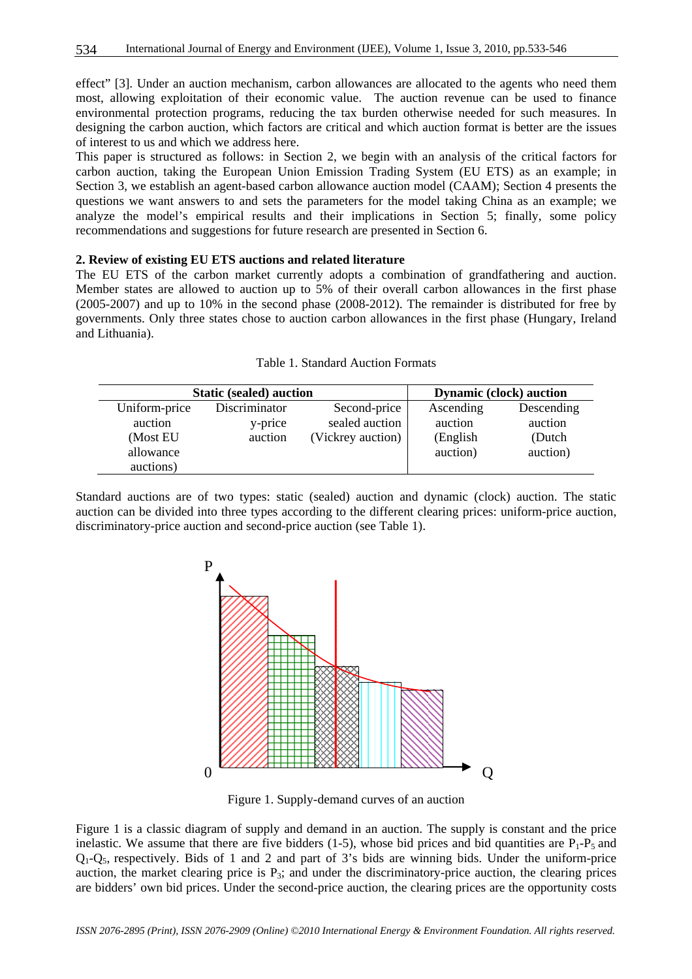effect" [3]. Under an auction mechanism, carbon allowances are allocated to the agents who need them most, allowing exploitation of their economic value. The auction revenue can be used to finance environmental protection programs, reducing the tax burden otherwise needed for such measures. In designing the carbon auction, which factors are critical and which auction format is better are the issues of interest to us and which we address here.

This paper is structured as follows: in Section 2, we begin with an analysis of the critical factors for carbon auction, taking the European Union Emission Trading System (EU ETS) as an example; in Section 3, we establish an agent-based carbon allowance auction model (CAAM); Section 4 presents the questions we want answers to and sets the parameters for the model taking China as an example; we analyze the model's empirical results and their implications in Section 5; finally, some policy recommendations and suggestions for future research are presented in Section 6.

#### **2. Review of existing EU ETS auctions and related literature**

The EU ETS of the carbon market currently adopts a combination of grandfathering and auction. Member states are allowed to auction up to 5% of their overall carbon allowances in the first phase (2005-2007) and up to 10% in the second phase (2008-2012). The remainder is distributed for free by governments. Only three states chose to auction carbon allowances in the first phase (Hungary, Ireland and Lithuania).

| <b>Static (sealed) auction</b> |               |                   | <b>Dynamic (clock) auction</b> |            |
|--------------------------------|---------------|-------------------|--------------------------------|------------|
| Uniform-price                  | Discriminator | Second-price      | Ascending                      | Descending |
| auction                        | y-price       | sealed auction    | auction                        | auction    |
| (Most EU                       | auction       | (Vickrey auction) | (English)                      | (Dutch)    |
| allowance                      |               |                   | auction)                       | auction)   |
| auctions)                      |               |                   |                                |            |

|  | Table 1. Standard Auction Formats |  |  |
|--|-----------------------------------|--|--|
|--|-----------------------------------|--|--|

Standard auctions are of two types: static (sealed) auction and dynamic (clock) auction. The static auction can be divided into three types according to the different clearing prices: uniform-price auction, discriminatory-price auction and second-price auction (see Table 1).



Figure 1. Supply-demand curves of an auction

Figure 1 is a classic diagram of supply and demand in an auction. The supply is constant and the price inelastic. We assume that there are five bidders (1-5), whose bid prices and bid quantities are  $P_1-P_5$  and  $Q_1 - Q_5$ , respectively. Bids of 1 and 2 and part of 3's bids are winning bids. Under the uniform-price auction, the market clearing price is  $P_3$ ; and under the discriminatory-price auction, the clearing prices are bidders' own bid prices. Under the second-price auction, the clearing prices are the opportunity costs

*ISSN 2076-2895 (Print), ISSN 2076-2909 (Online) ©2010 International Energy & Environment Foundation. All rights reserved.*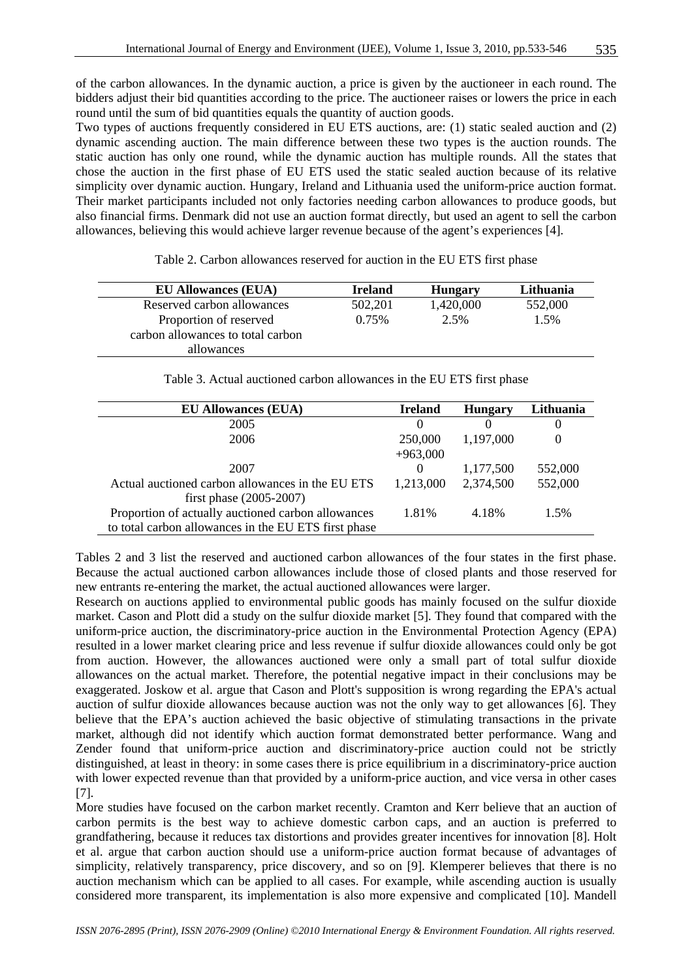of the carbon allowances. In the dynamic auction, a price is given by the auctioneer in each round. The bidders adjust their bid quantities according to the price. The auctioneer raises or lowers the price in each round until the sum of bid quantities equals the quantity of auction goods.

Two types of auctions frequently considered in EU ETS auctions, are: (1) static sealed auction and (2) dynamic ascending auction. The main difference between these two types is the auction rounds. The static auction has only one round, while the dynamic auction has multiple rounds. All the states that chose the auction in the first phase of EU ETS used the static sealed auction because of its relative simplicity over dynamic auction. Hungary, Ireland and Lithuania used the uniform-price auction format. Their market participants included not only factories needing carbon allowances to produce goods, but also financial firms. Denmark did not use an auction format directly, but used an agent to sell the carbon allowances, believing this would achieve larger revenue because of the agent's experiences [4].

Table 2. Carbon allowances reserved for auction in the EU ETS first phase

| <b>EU Allowances (EUA)</b>        | <b>Ireland</b> | <b>Hungary</b> | Lithuania |
|-----------------------------------|----------------|----------------|-----------|
| Reserved carbon allowances        | 502,201        | 1,420,000      | 552,000   |
| Proportion of reserved            | 0.75%          | 2.5%           | 1.5%      |
| carbon allowances to total carbon |                |                |           |
| allowances                        |                |                |           |
|                                   |                |                |           |

Table 3. Actual auctioned carbon allowances in the EU ETS first phase

| <b>EU Allowances (EUA)</b>                           | Ireland    | <b>Hungary</b> | Lithuania |
|------------------------------------------------------|------------|----------------|-----------|
| 2005                                                 | $\Omega$   | $\theta$       |           |
| 2006                                                 | 250,000    | 1,197,000      | 0         |
|                                                      | $+963,000$ |                |           |
| 2007                                                 | $\Omega$   | 1,177,500      | 552,000   |
| Actual auctioned carbon allowances in the EU ETS     | 1,213,000  | 2,374,500      | 552,000   |
| first phase $(2005 - 2007)$                          |            |                |           |
| Proportion of actually auctioned carbon allowances   | 1.81%      | 4.18%          | 1.5%      |
| to total carbon allowances in the EU ETS first phase |            |                |           |
|                                                      |            |                |           |

Tables 2 and 3 list the reserved and auctioned carbon allowances of the four states in the first phase. Because the actual auctioned carbon allowances include those of closed plants and those reserved for new entrants re-entering the market, the actual auctioned allowances were larger.

Research on auctions applied to environmental public goods has mainly focused on the sulfur dioxide market. Cason and Plott did a study on the sulfur dioxide market [5]. They found that compared with the uniform-price auction, the discriminatory-price auction in the Environmental Protection Agency (EPA) resulted in a lower market clearing price and less revenue if sulfur dioxide allowances could only be got from auction. However, the allowances auctioned were only a small part of total sulfur dioxide allowances on the actual market. Therefore, the potential negative impact in their conclusions may be exaggerated. Joskow et al. argue that Cason and Plott's supposition is wrong regarding the EPA's actual auction of sulfur dioxide allowances because auction was not the only way to get allowances [6]. They believe that the EPA's auction achieved the basic objective of stimulating transactions in the private market, although did not identify which auction format demonstrated better performance. Wang and Zender found that uniform-price auction and discriminatory-price auction could not be strictly distinguished, at least in theory: in some cases there is price equilibrium in a discriminatory-price auction with lower expected revenue than that provided by a uniform-price auction, and vice versa in other cases [7].

More studies have focused on the carbon market recently. Cramton and Kerr believe that an auction of carbon permits is the best way to achieve domestic carbon caps, and an auction is preferred to grandfathering, because it reduces tax distortions and provides greater incentives for innovation [8]. Holt et al. argue that carbon auction should use a uniform-price auction format because of advantages of simplicity, relatively transparency, price discovery, and so on [9]. Klemperer believes that there is no auction mechanism which can be applied to all cases. For example, while ascending auction is usually considered more transparent, its implementation is also more expensive and complicated [10]. Mandell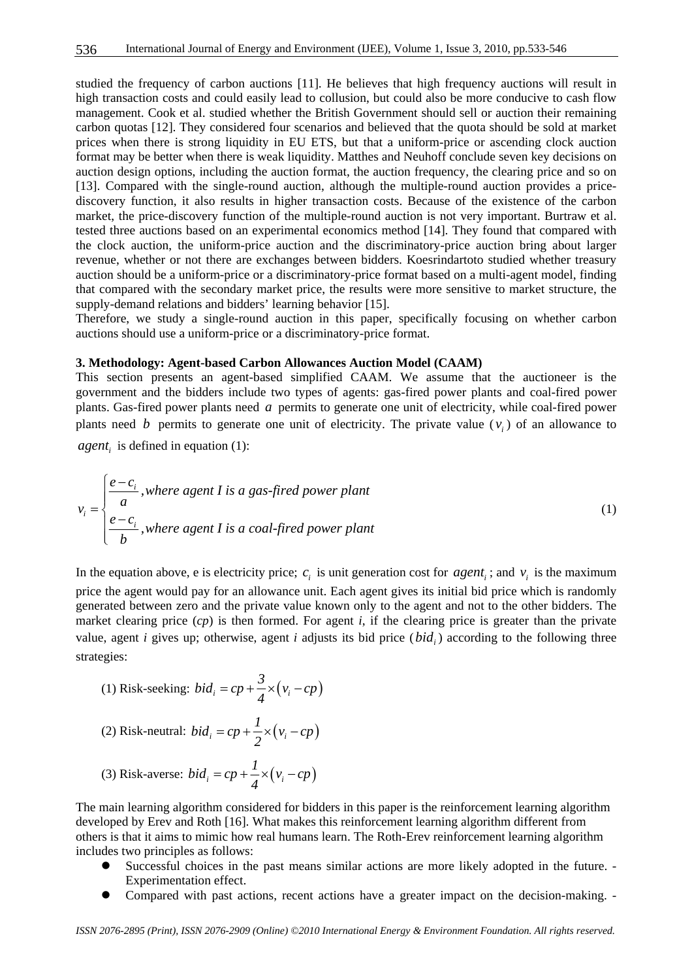studied the frequency of carbon auctions [11]. He believes that high frequency auctions will result in high transaction costs and could easily lead to collusion, but could also be more conducive to cash flow management. Cook et al. studied whether the British Government should sell or auction their remaining carbon quotas [12]. They considered four scenarios and believed that the quota should be sold at market prices when there is strong liquidity in EU ETS, but that a uniform-price or ascending clock auction format may be better when there is weak liquidity. Matthes and Neuhoff conclude seven key decisions on auction design options, including the auction format, the auction frequency, the clearing price and so on [13]. Compared with the single-round auction, although the multiple-round auction provides a pricediscovery function, it also results in higher transaction costs. Because of the existence of the carbon market, the price-discovery function of the multiple-round auction is not very important. Burtraw et al. tested three auctions based on an experimental economics method [14]. They found that compared with the clock auction, the uniform-price auction and the discriminatory-price auction bring about larger revenue, whether or not there are exchanges between bidders. Koesrindartoto studied whether treasury auction should be a uniform-price or a discriminatory-price format based on a multi-agent model, finding that compared with the secondary market price, the results were more sensitive to market structure, the supply-demand relations and bidders' learning behavior [15].

Therefore, we study a single-round auction in this paper, specifically focusing on whether carbon auctions should use a uniform-price or a discriminatory-price format.

## **3. Methodology: Agent-based Carbon Allowances Auction Model (CAAM)**

This section presents an agent-based simplified CAAM. We assume that the auctioneer is the government and the bidders include two types of agents: gas-fired power plants and coal-fired power plants. Gas-fired power plants need *a* permits to generate one unit of electricity, while coal-fired power plants need *b* permits to generate one unit of electricity. The private value  $(v_i)$  of an allowance to *agent*, is defined in equation (1):

$$
v_i = \begin{cases} \frac{e - c_i}{a}, \text{ where agent I is a gas-fixed power plant} \\ \frac{e - c_i}{b}, \text{ where agent I is a coal-fixed power plant} \end{cases} \tag{1}
$$

In the equation above, e is electricity price;  $c_i$  is unit generation cost for  $agent_i$ ; and  $v_i$  is the maximum price the agent would pay for an allowance unit. Each agent gives its initial bid price which is randomly generated between zero and the private value known only to the agent and not to the other bidders. The market clearing price (*cp*) is then formed. For agent *i*, if the clearing price is greater than the private value, agent *i* gives up; otherwise, agent *i* adjusts its bid price  $(bid_i)$  according to the following three strategies:

(1) Risk-seeking: 
$$
bid_i = cp + \frac{3}{4} \times (v_i - cp)
$$

(2) Risk-neutral: 
$$
bid_i = cp + \frac{1}{2} \times (v_i - cp)
$$

(3) Risk-averse: 
$$
bid_i = cp + \frac{1}{4} \times (v_i - cp)
$$

The main learning algorithm considered for bidders in this paper is the reinforcement learning algorithm developed by Erev and Roth [16]. What makes this reinforcement learning algorithm different from others is that it aims to mimic how real humans learn. The Roth-Erev reinforcement learning algorithm includes two principles as follows:

- Successful choices in the past means similar actions are more likely adopted in the future. -Experimentation effect.
- Compared with past actions, recent actions have a greater impact on the decision-making. -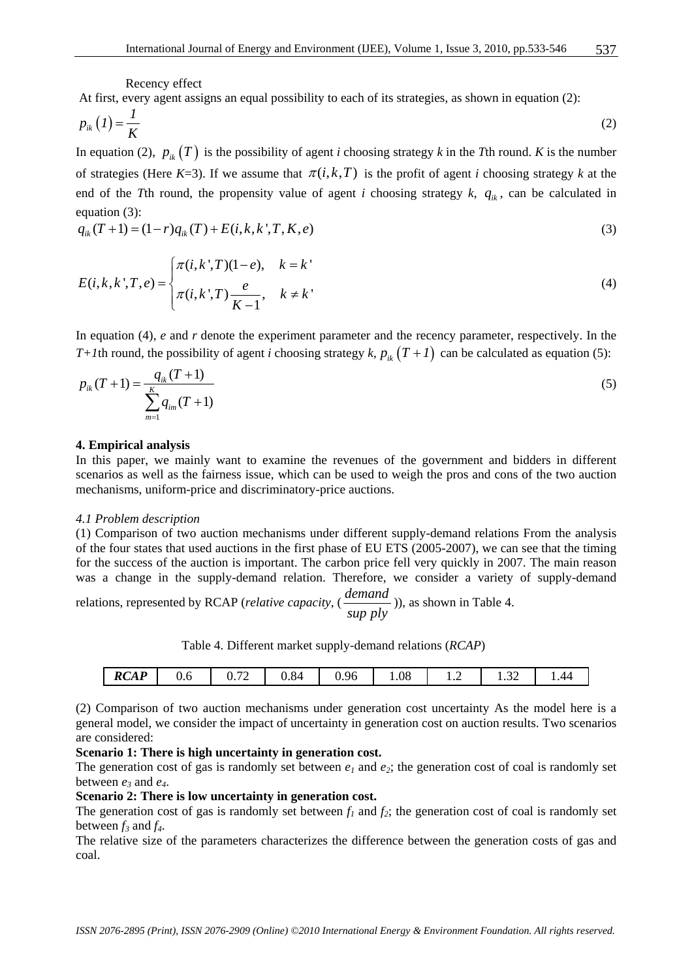Recency effect

At first, every agent assigns an equal possibility to each of its strategies, as shown in equation (2):

$$
p_{ik}(I) = \frac{I}{K} \tag{2}
$$

In equation (2),  $p_{ik}(T)$  is the possibility of agent *i* choosing strategy *k* in the *T*th round. *K* is the number of strategies (Here  $K=3$ ). If we assume that  $\pi(i,k,T)$  is the profit of agent *i* choosing strategy *k* at the end of the *T*th round, the propensity value of agent *i* choosing strategy *k*,  $q_{ik}$ , can be calculated in equation (3):

$$
q_{ik}(T+1) = (1-r)q_{ik}(T) + E(i, k, k', T, K, e)
$$
\n(3)

$$
E(i,k,k',T,e) = \begin{cases} \pi(i,k',T)(1-e), & k=k'\\ \pi(i,k',T)\frac{e}{K-1}, & k \neq k' \end{cases}
$$
 (4)

In equation (4), *e* and *r* denote the experiment parameter and the recency parameter, respectively. In the *T+1*th round, the possibility of agent *i* choosing strategy *k*,  $p_{ik}$  (*T + 1*) can be calculated as equation (5):

$$
p_{ik}(T+1) = \frac{q_{ik}(T+1)}{\sum_{m=1}^{K} q_{im}(T+1)}
$$
(5)

#### **4. Empirical analysis**

In this paper, we mainly want to examine the revenues of the government and bidders in different scenarios as well as the fairness issue, which can be used to weigh the pros and cons of the two auction mechanisms, uniform-price and discriminatory-price auctions.

#### *4.1 Problem description*

(1) Comparison of two auction mechanisms under different supply-demand relations From the analysis of the four states that used auctions in the first phase of EU ETS (2005-2007), we can see that the timing for the success of the auction is important. The carbon price fell very quickly in 2007. The main reason was a change in the supply-demand relation. Therefore, we consider a variety of supply-demand

relations, represented by RCAP (*relative capacity*, ( *demand*  $\frac{\text{gamma}}{\text{sup } \text{ply}}$ )), as shown in Table 4.

Table 4. Different market supply-demand relations (*RCAP*)

| <b>RCAP</b><br>1.08<br>$  -$<br>0.84<br>$\sim$<br>0.96<br>$\sim$<br>44<br>v. ≀∠<br>v.v<br>1.JA<br>$\cdot$ $\sim$<br> |
|----------------------------------------------------------------------------------------------------------------------|
|----------------------------------------------------------------------------------------------------------------------|

(2) Comparison of two auction mechanisms under generation cost uncertainty As the model here is a general model, we consider the impact of uncertainty in generation cost on auction results. Two scenarios are considered:

## **Scenario 1: There is high uncertainty in generation cost.**

The generation cost of gas is randomly set between  $e_1$  and  $e_2$ ; the generation cost of coal is randomly set between *e3* and *e4*.

### **Scenario 2: There is low uncertainty in generation cost.**

The generation cost of gas is randomly set between  $f_1$  and  $f_2$ ; the generation cost of coal is randomly set between  $f_3$  and  $f_4$ .

The relative size of the parameters characterizes the difference between the generation costs of gas and coal.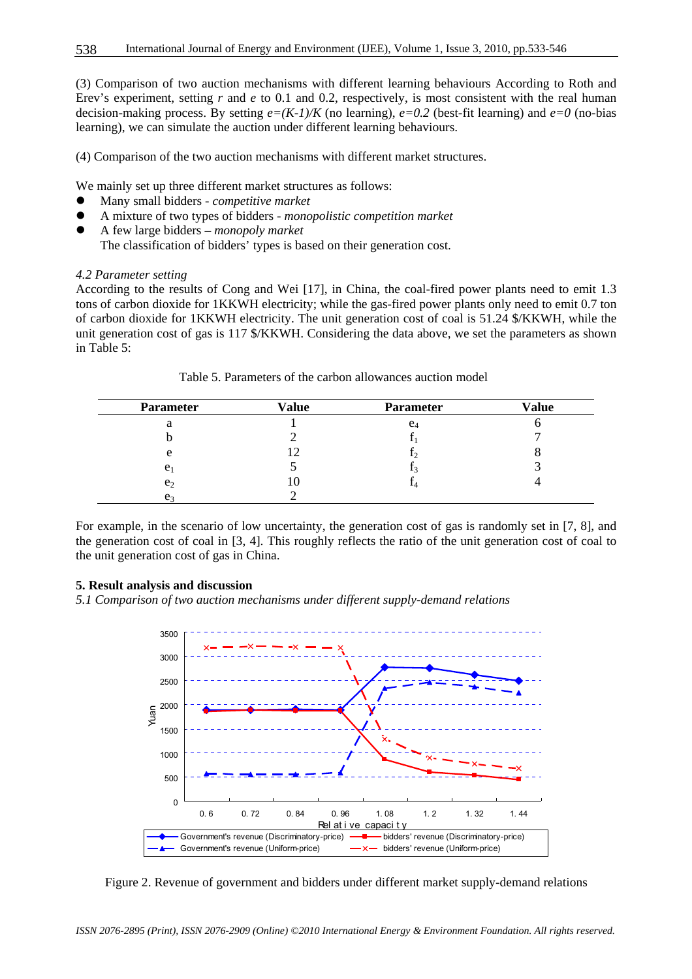(3) Comparison of two auction mechanisms with different learning behaviours According to Roth and Erev's experiment, setting r and e to 0.1 and 0.2, respectively, is most consistent with the real human decision-making process. By setting  $e=(K-1)/K$  (no learning),  $e=0.2$  (best-fit learning) and  $e=0$  (no-bias learning), we can simulate the auction under different learning behaviours.

(4) Comparison of the two auction mechanisms with different market structures.

We mainly set up three different market structures as follows:

- z Many small bidders *competitive market*
- z A mixture of two types of bidders *monopolistic competition market*
- z A few large bidders *monopoly market* The classification of bidders' types is based on their generation cost.

#### *4.2 Parameter setting*

According to the results of Cong and Wei [17], in China, the coal-fired power plants need to emit 1.3 tons of carbon dioxide for 1KKWH electricity; while the gas-fired power plants only need to emit 0.7 ton of carbon dioxide for 1KKWH electricity. The unit generation cost of coal is 51.24 \$/KKWH, while the unit generation cost of gas is 117 \$/KKWH. Considering the data above, we set the parameters as shown in Table 5:

| <b>Parameter</b> | <b>Value</b> | <b>Parameter</b> | <b>Value</b> |
|------------------|--------------|------------------|--------------|
| a                |              | $e_4$            |              |
|                  |              |                  |              |
| e                |              |                  |              |
| e <sub>1</sub>   |              |                  |              |
| e <sub>2</sub>   |              |                  |              |
| e <sub>3</sub>   |              |                  |              |

Table 5. Parameters of the carbon allowances auction model

For example, in the scenario of low uncertainty, the generation cost of gas is randomly set in [7, 8], and the generation cost of coal in [3, 4]. This roughly reflects the ratio of the unit generation cost of coal to the unit generation cost of gas in China.

#### **5. Result analysis and discussion**

*5.1 Comparison of two auction mechanisms under different supply-demand relations* 



Figure 2. Revenue of government and bidders under different market supply-demand relations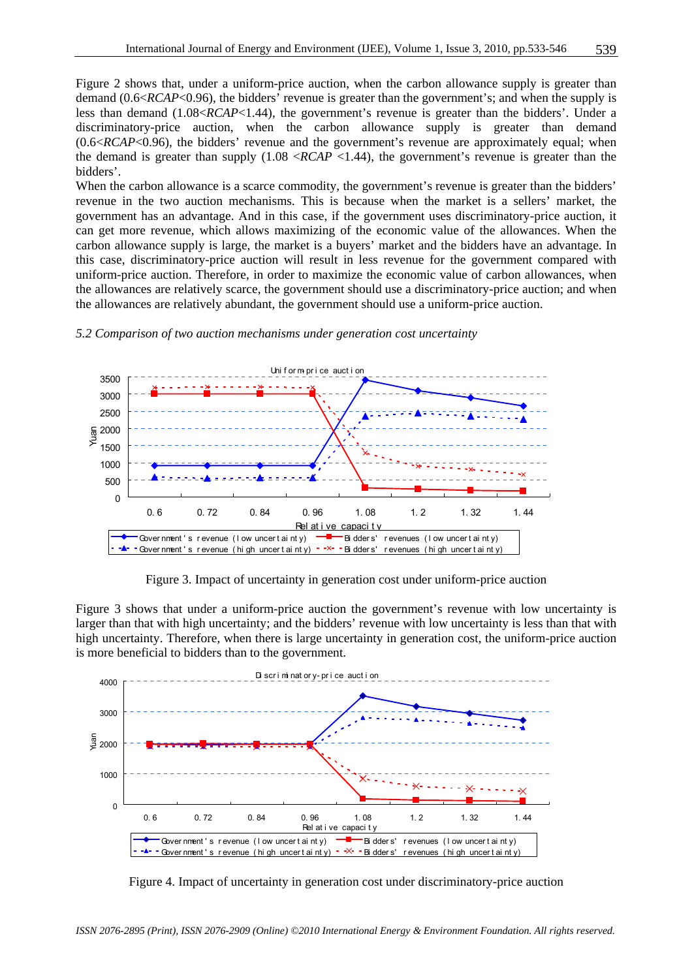Figure 2 shows that, under a uniform-price auction, when the carbon allowance supply is greater than demand (0.6<*RCAP*<0.96), the bidders' revenue is greater than the government's; and when the supply is less than demand (1.08<*RCAP*<1.44), the government's revenue is greater than the bidders'. Under a discriminatory-price auction, when the carbon allowance supply is greater than demand (0.6<*RCAP*<0.96), the bidders' revenue and the government's revenue are approximately equal; when the demand is greater than supply  $(1.08 \angle RCAP \angle 1.44)$ , the government's revenue is greater than the bidders'.

When the carbon allowance is a scarce commodity, the government's revenue is greater than the bidders' revenue in the two auction mechanisms. This is because when the market is a sellers' market, the government has an advantage. And in this case, if the government uses discriminatory-price auction, it can get more revenue, which allows maximizing of the economic value of the allowances. When the carbon allowance supply is large, the market is a buyers' market and the bidders have an advantage. In this case, discriminatory-price auction will result in less revenue for the government compared with uniform-price auction. Therefore, in order to maximize the economic value of carbon allowances, when the allowances are relatively scarce, the government should use a discriminatory-price auction; and when the allowances are relatively abundant, the government should use a uniform-price auction.



*5.2 Comparison of two auction mechanisms under generation cost uncertainty* 

Figure 3. Impact of uncertainty in generation cost under uniform-price auction

Figure 3 shows that under a uniform-price auction the government's revenue with low uncertainty is larger than that with high uncertainty; and the bidders' revenue with low uncertainty is less than that with high uncertainty. Therefore, when there is large uncertainty in generation cost, the uniform-price auction is more beneficial to bidders than to the government.



Figure 4. Impact of uncertainty in generation cost under discriminatory-price auction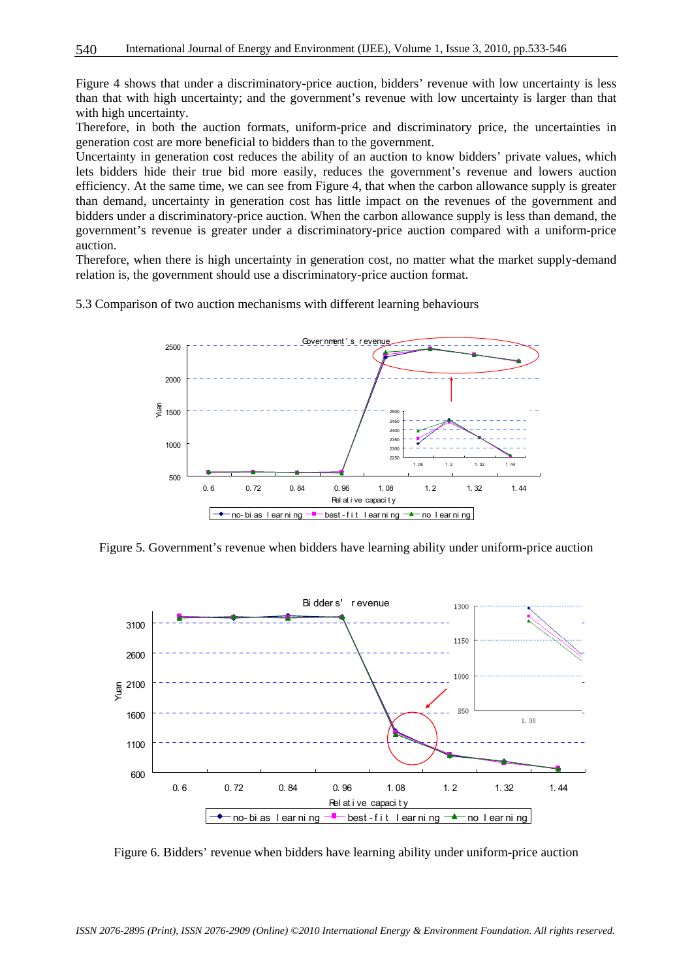Figure 4 shows that under a discriminatory-price auction, bidders' revenue with low uncertainty is less than that with high uncertainty; and the government's revenue with low uncertainty is larger than that with high uncertainty.

Therefore, in both the auction formats, uniform-price and discriminatory price, the uncertainties in generation cost are more beneficial to bidders than to the government.

Uncertainty in generation cost reduces the ability of an auction to know bidders' private values, which lets bidders hide their true bid more easily, reduces the government's revenue and lowers auction efficiency. At the same time, we can see from Figure 4, that when the carbon allowance supply is greater than demand, uncertainty in generation cost has little impact on the revenues of the government and bidders under a discriminatory-price auction. When the carbon allowance supply is less than demand, the government's revenue is greater under a discriminatory-price auction compared with a uniform-price auction.

Therefore, when there is high uncertainty in generation cost, no matter what the market supply-demand relation is, the government should use a discriminatory-price auction format.

5.3 Comparison of two auction mechanisms with different learning behaviours



Figure 5. Government's revenue when bidders have learning ability under uniform-price auction



Figure 6. Bidders' revenue when bidders have learning ability under uniform-price auction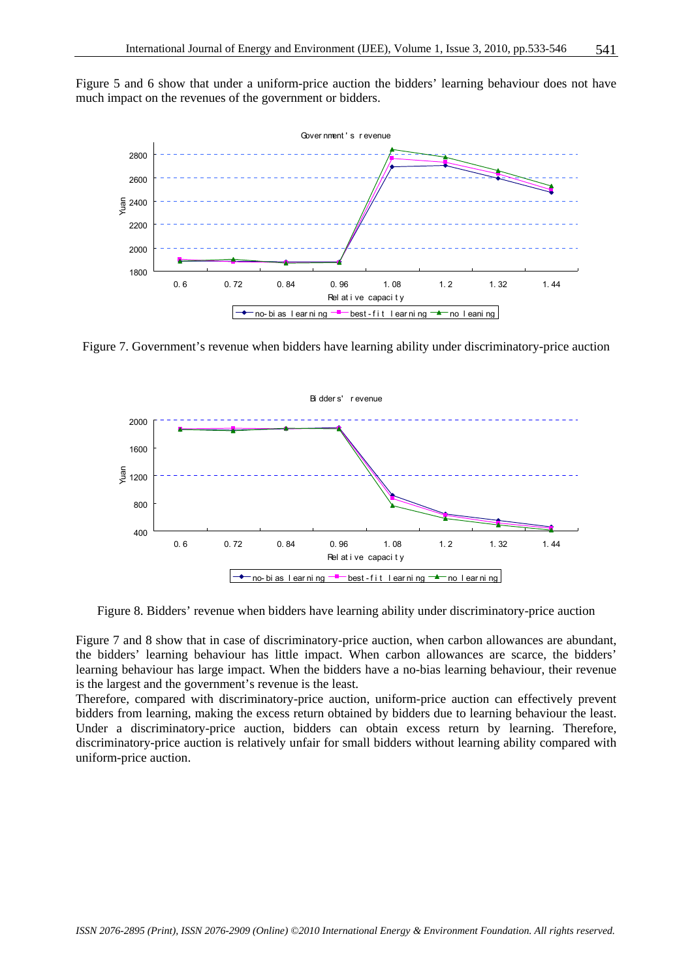Figure 5 and 6 show that under a uniform-price auction the bidders' learning behaviour does not have much impact on the revenues of the government or bidders.



Figure 7. Government's revenue when bidders have learning ability under discriminatory-price auction



Figure 8. Bidders' revenue when bidders have learning ability under discriminatory-price auction

Figure 7 and 8 show that in case of discriminatory-price auction, when carbon allowances are abundant, the bidders' learning behaviour has little impact. When carbon allowances are scarce, the bidders' learning behaviour has large impact. When the bidders have a no-bias learning behaviour, their revenue is the largest and the government's revenue is the least.

Therefore, compared with discriminatory-price auction, uniform-price auction can effectively prevent bidders from learning, making the excess return obtained by bidders due to learning behaviour the least. Under a discriminatory-price auction, bidders can obtain excess return by learning. Therefore, discriminatory-price auction is relatively unfair for small bidders without learning ability compared with uniform-price auction.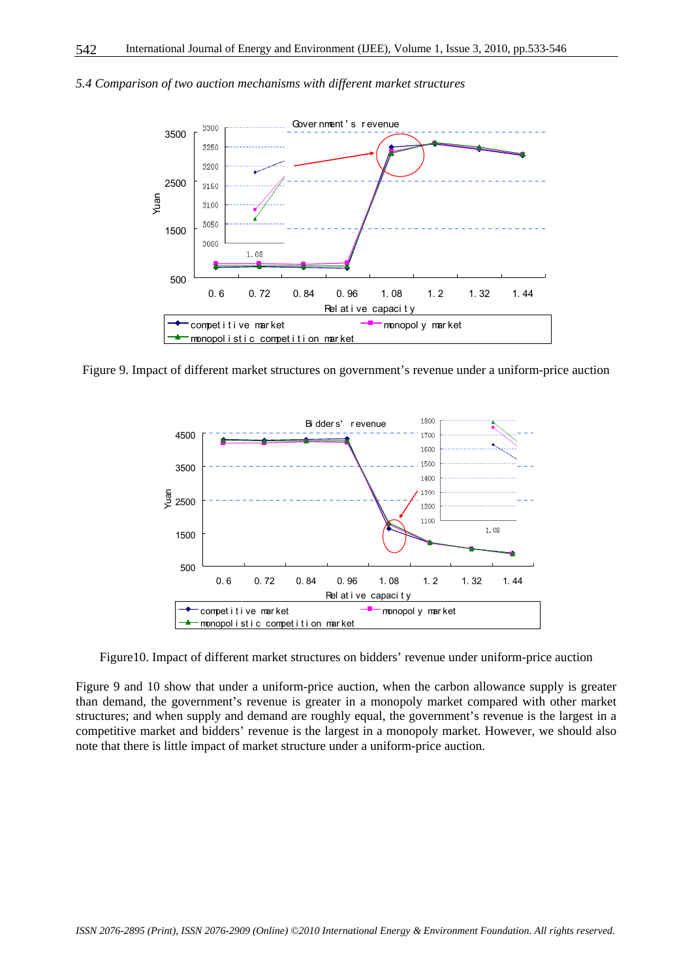

*5.4 Comparison of two auction mechanisms with different market structures* 

Figure 9. Impact of different market structures on government's revenue under a uniform-price auction



Figure10. Impact of different market structures on bidders' revenue under uniform-price auction

Figure 9 and 10 show that under a uniform-price auction, when the carbon allowance supply is greater than demand, the government's revenue is greater in a monopoly market compared with other market structures; and when supply and demand are roughly equal, the government's revenue is the largest in a competitive market and bidders' revenue is the largest in a monopoly market. However, we should also note that there is little impact of market structure under a uniform-price auction.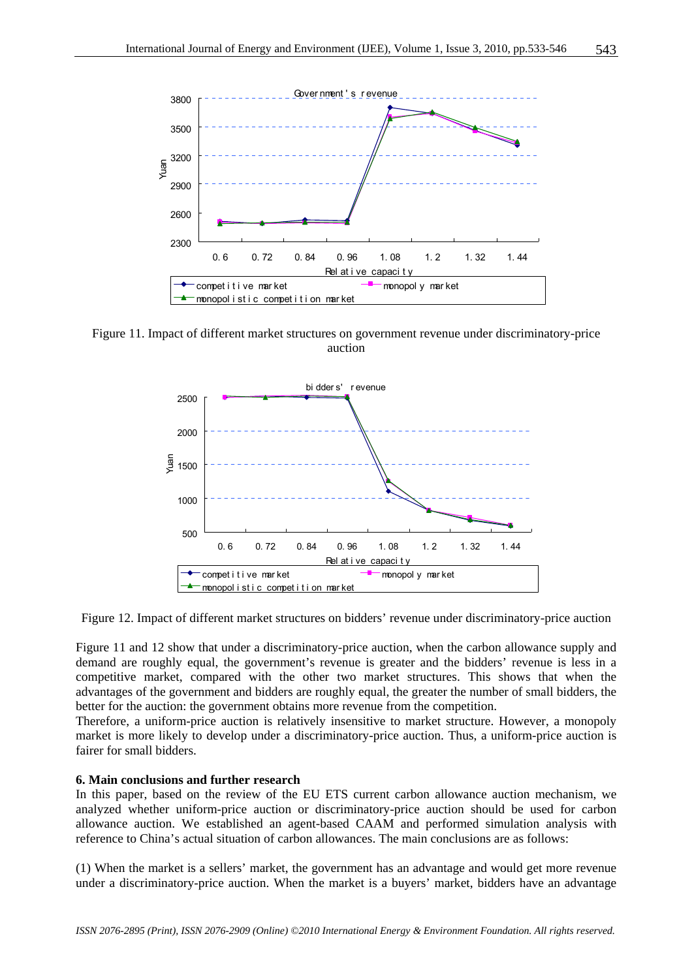

Figure 11. Impact of different market structures on government revenue under discriminatory-price auction



Figure 12. Impact of different market structures on bidders' revenue under discriminatory-price auction

Figure 11 and 12 show that under a discriminatory-price auction, when the carbon allowance supply and demand are roughly equal, the government's revenue is greater and the bidders' revenue is less in a competitive market, compared with the other two market structures. This shows that when the advantages of the government and bidders are roughly equal, the greater the number of small bidders, the better for the auction: the government obtains more revenue from the competition.

Therefore, a uniform-price auction is relatively insensitive to market structure. However, a monopoly market is more likely to develop under a discriminatory-price auction. Thus, a uniform-price auction is fairer for small bidders.

#### **6. Main conclusions and further research**

In this paper, based on the review of the EU ETS current carbon allowance auction mechanism, we analyzed whether uniform-price auction or discriminatory-price auction should be used for carbon allowance auction. We established an agent-based CAAM and performed simulation analysis with reference to China's actual situation of carbon allowances. The main conclusions are as follows:

(1) When the market is a sellers' market, the government has an advantage and would get more revenue under a discriminatory-price auction. When the market is a buyers' market, bidders have an advantage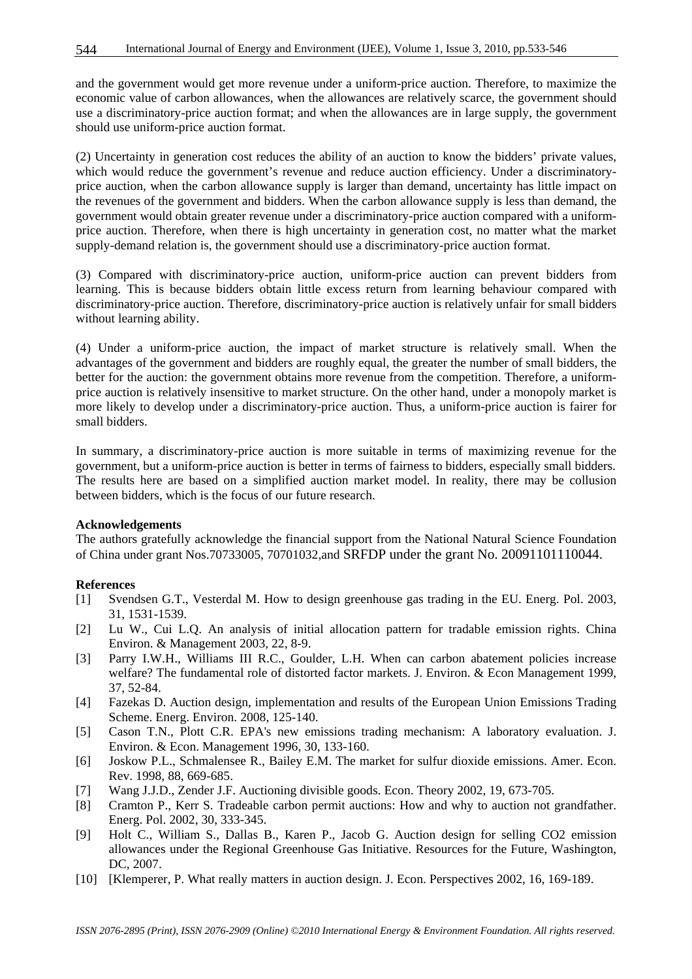and the government would get more revenue under a uniform-price auction. Therefore, to maximize the economic value of carbon allowances, when the allowances are relatively scarce, the government should use a discriminatory-price auction format; and when the allowances are in large supply, the government should use uniform-price auction format.

(2) Uncertainty in generation cost reduces the ability of an auction to know the bidders' private values, which would reduce the government's revenue and reduce auction efficiency. Under a discriminatoryprice auction, when the carbon allowance supply is larger than demand, uncertainty has little impact on the revenues of the government and bidders. When the carbon allowance supply is less than demand, the government would obtain greater revenue under a discriminatory-price auction compared with a uniformprice auction. Therefore, when there is high uncertainty in generation cost, no matter what the market supply-demand relation is, the government should use a discriminatory-price auction format.

(3) Compared with discriminatory-price auction, uniform-price auction can prevent bidders from learning. This is because bidders obtain little excess return from learning behaviour compared with discriminatory-price auction. Therefore, discriminatory-price auction is relatively unfair for small bidders without learning ability.

(4) Under a uniform-price auction, the impact of market structure is relatively small. When the advantages of the government and bidders are roughly equal, the greater the number of small bidders, the better for the auction: the government obtains more revenue from the competition. Therefore, a uniformprice auction is relatively insensitive to market structure. On the other hand, under a monopoly market is more likely to develop under a discriminatory-price auction. Thus, a uniform-price auction is fairer for small bidders.

In summary, a discriminatory-price auction is more suitable in terms of maximizing revenue for the government, but a uniform-price auction is better in terms of fairness to bidders, especially small bidders. The results here are based on a simplified auction market model. In reality, there may be collusion between bidders, which is the focus of our future research.

#### **Acknowledgements**

The authors gratefully acknowledge the financial support from the National Natural Science Foundation of China under grant Nos.70733005, 70701032,and SRFDP under the grant No. 20091101110044.

#### **References**

- [1] Svendsen G.T., Vesterdal M. How to design greenhouse gas trading in the EU. Energ. Pol. 2003, 31, 1531-1539.
- [2] Lu W., Cui L.Q. An analysis of initial allocation pattern for tradable emission rights. China Environ. & Management 2003, 22, 8-9.
- [3] Parry I.W.H., Williams III R.C., Goulder, L.H. When can carbon abatement policies increase welfare? The fundamental role of distorted factor markets. J. Environ. & Econ Management 1999, 37, 52-84.
- [4] Fazekas D. Auction design, implementation and results of the European Union Emissions Trading Scheme. Energ. Environ. 2008, 125-140.
- [5] Cason T.N., Plott C.R. EPA's new emissions trading mechanism: A laboratory evaluation. J. Environ. & Econ. Management 1996, 30, 133-160.
- [6] Joskow P.L., Schmalensee R., Bailey E.M. The market for sulfur dioxide emissions. Amer. Econ. Rev. 1998, 88, 669-685.
- [7] Wang J.J.D., Zender J.F. Auctioning divisible goods. Econ. Theory 2002, 19, 673-705.
- [8] Cramton P., Kerr S. Tradeable carbon permit auctions: How and why to auction not grandfather. Energ. Pol. 2002, 30, 333-345.
- [9] Holt C., William S., Dallas B., Karen P., Jacob G. Auction design for selling CO2 emission allowances under the Regional Greenhouse Gas Initiative. Resources for the Future, Washington, DC, 2007.
- [10] [Klemperer, P. What really matters in auction design. J. Econ. Perspectives 2002, 16, 169-189.